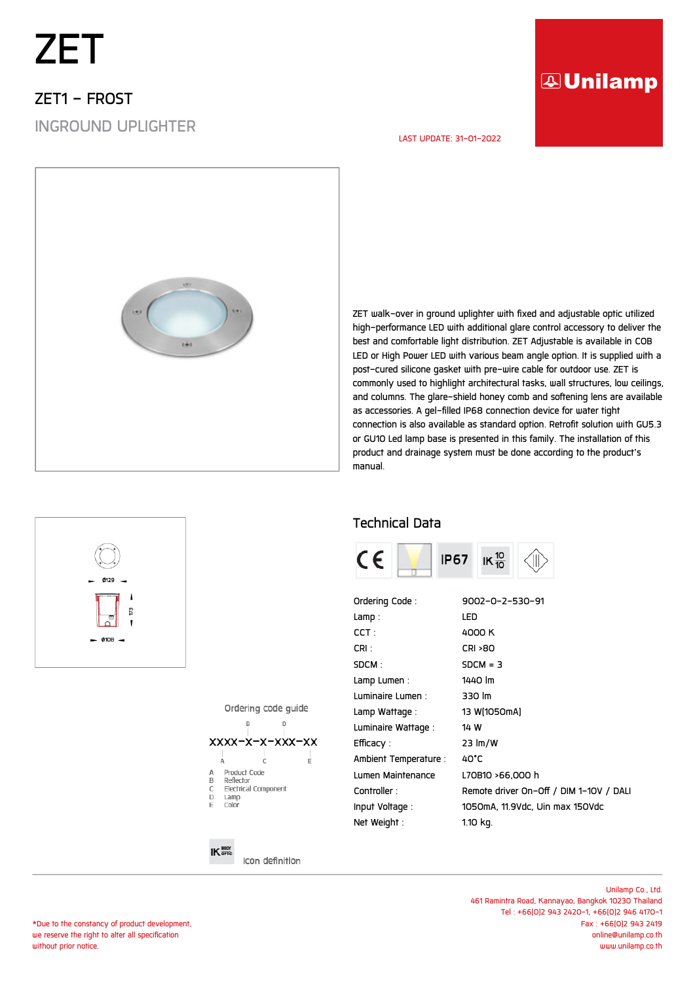# *ZET*

## *ZET1 - FROST INGROUND UPLIGHTER*

### **AUnilamp**

#### *LAST UPDATE: 31-01-2022*



*ZET walk-over in ground uplighter with fixed and adjustable optic utilized high-performance LED with additional glare control accessory to deliver the best and comfortable light distribution. ZET Adjustable is available in COB LED or High Power LED with various beam angle option. It is supplied with a post-cured silicone gasket with pre-wire cable for outdoor use. ZET is commonly used to highlight architectural tasks, wall structures, low ceilings, and columns. The glare-shield honey comb and softening lens are available as accessories. A gel-filled IP68 connection device for water tight connection is also available as standard option. Retrofit solution with GU5.3 or GU10 Led lamp base is presented in this family. The installation of this product and drainage system must be done according to the product's manual.*

#### *Technical Data*



| Ordering Code:        | $9002 - 0 - 2 - 530 - 91$              |
|-----------------------|----------------------------------------|
| Lamp:                 | LED                                    |
| CCT:                  | 4000 K                                 |
| CRI :                 | <b>CRI &gt;80</b>                      |
| SDCM:                 | $SDCM = 3$                             |
| Lamp Lumen:           | 1440 lm                                |
| Luminaire Lumen:      | 330 lm                                 |
| Lamp Wattage :        | 13 W[1050mA]                           |
| Luminaire Wattage:    | 14 W                                   |
| Efficacy :            | 23 lm/W                                |
| Ambient Temperature : | 40°C                                   |
| Lumen Maintenance     | L70B10 >66,000 h                       |
| Controller:           | Remote driver On-Off / DIM 1-10V / DAL |
| Input Voltage:        | 1050mA, 11.9Vdc, Uin max 150Vdc        |
| Net Weight:           | 1.10 kg.                               |

Ordering code quide



#### $IK^{\text{BODY}}_{\text{opTic}}$

Icon definition



 $q$ 108

m

*\*Due to the constancy of product development, we reserve the right to alter all specification without prior notice.*

*Unilamp Co., Ltd. 461 Ramintra Road, Kannayao, Bangkok 10230 Thailand Tel : +66(0)2 943 2420-1, +66(0)2 946 4170-1 Fax : +66(0)2 943 2419 online@unilamp.co.th www.unilamp.co.th*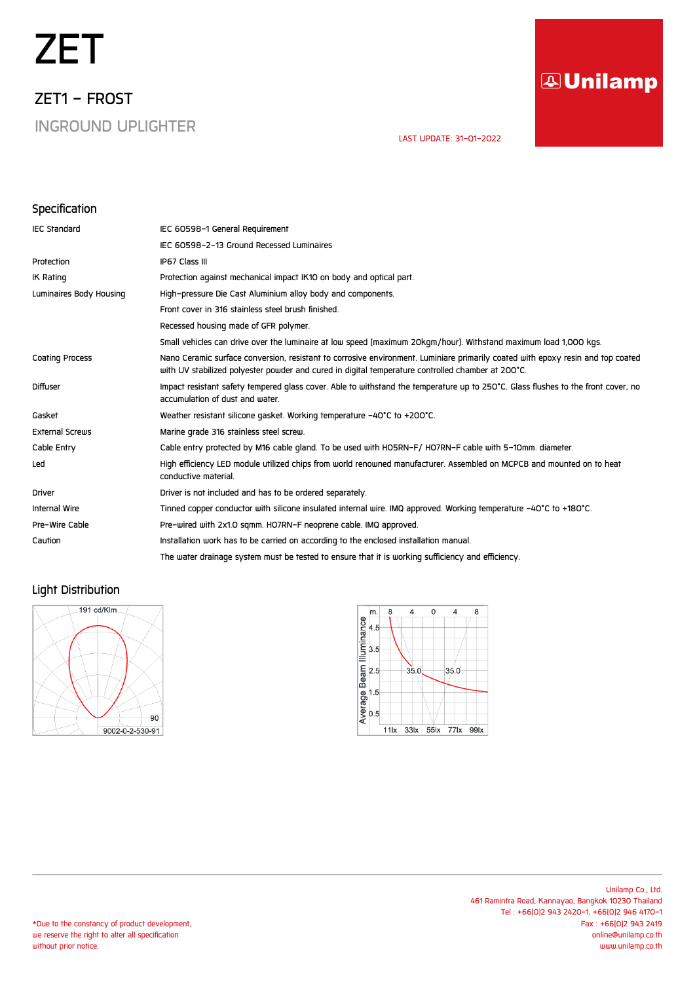# *ZET*

*ZET1 - FROST INGROUND UPLIGHTER*

## **AUnilamp**

 *LAST UPDATE: 31-01-2022* 

#### *Specification*

| <b>IEC Standard</b>     | IEC 60598-1 General Requirement                                                                                                                                                                                                      |
|-------------------------|--------------------------------------------------------------------------------------------------------------------------------------------------------------------------------------------------------------------------------------|
|                         | IEC 60598-2-13 Ground Recessed Luminaires                                                                                                                                                                                            |
| Protection              | IP67 Class III                                                                                                                                                                                                                       |
| <b>IK Rating</b>        | Protection against mechanical impact IK10 on body and optical part.                                                                                                                                                                  |
| Luminaires Body Housing | High-pressure Die Cast Aluminium alloy body and components.                                                                                                                                                                          |
|                         | Front cover in 316 stainless steel brush finished.                                                                                                                                                                                   |
|                         | Recessed housing made of GFR polymer.                                                                                                                                                                                                |
|                         | Small vehicles can drive over the luminaire at low speed (maximum 20kgm/hour). Withstand maximum load 1,000 kgs.                                                                                                                     |
| <b>Coating Process</b>  | Nano Ceramic surface conversion, resistant to corrosive environment. Luminiare primarily coated with epoxy resin and top coated<br>with UV stabilized polyester powder and cured in digital temperature controlled chamber at 200°C. |
| Diffuser                | Impact resistant safety tempered glass cover. Able to withstand the temperature up to 250°C. Glass flushes to the front cover, no<br>accumulation of dust and water.                                                                 |
| Gasket                  | Weather resistant silicone gasket. Working temperature -40°C to +200°C.                                                                                                                                                              |
| <b>External Screws</b>  | Marine grade 316 stainless steel screw.                                                                                                                                                                                              |
| Cable Entry             | Cable entry protected by M16 cable gland. To be used with HO5RN-F/HO7RN-F cable with 5-10mm. diameter.                                                                                                                               |
| Led                     | High efficiency LED module utilized chips from world renowned manufacturer. Assembled on MCPCB and mounted on to heat<br>conductive material.                                                                                        |
| <b>Driver</b>           | Driver is not included and has to be ordered separately.                                                                                                                                                                             |
| Internal Wire           | Tinned copper conductor with silicone insulated internal wire. IMQ approved. Working temperature -40°C to +180°C.                                                                                                                    |
| Pre-Wire Cable          | Pre-wired with 2x1.0 sqmm. HO7RN-F neoprene cable. IMQ approved.                                                                                                                                                                     |
| Caution                 | Installation work has to be carried on according to the enclosed installation manual.                                                                                                                                                |
|                         | The water drainage system must be tested to ensure that it is working sufficiency and efficiency.                                                                                                                                    |

#### *Light Distribution*